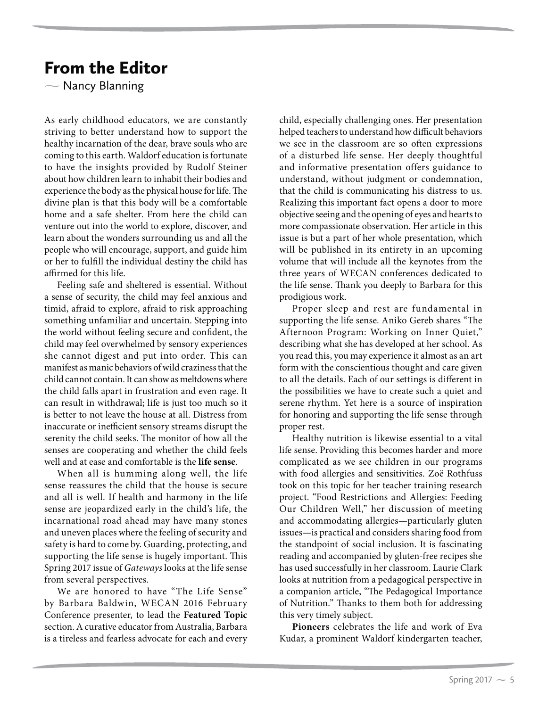## From the Editor

 $\overline{\phantom{0}}$ Nancy Blanning

As early childhood educators, we are constantly striving to better understand how to support the healthy incarnation of the dear, brave souls who are coming to this earth. Waldorf education is fortunate to have the insights provided by Rudolf Steiner about how children learn to inhabit their bodies and experience the body as the physical house for life. The divine plan is that this body will be a comfortable home and a safe shelter. From here the child can venture out into the world to explore, discover, and learn about the wonders surrounding us and all the people who will encourage, support, and guide him or her to fulfill the individual destiny the child has affirmed for this life.

Feeling safe and sheltered is essential. Without a sense of security, the child may feel anxious and timid, afraid to explore, afraid to risk approaching something unfamiliar and uncertain. Stepping into the world without feeling secure and confident, the child may feel overwhelmed by sensory experiences she cannot digest and put into order. This can manifest as manic behaviors of wild craziness that the child cannot contain. It can show as meltdowns where the child falls apart in frustration and even rage. It can result in withdrawal; life is just too much so it is better to not leave the house at all. Distress from inaccurate or inefficient sensory streams disrupt the serenity the child seeks. The monitor of how all the senses are cooperating and whether the child feels well and at ease and comfortable is the **life sense**.

When all is humming along well, the life sense reassures the child that the house is secure and all is well. If health and harmony in the life sense are jeopardized early in the child's life, the incarnational road ahead may have many stones and uneven places where the feeling of security and safety is hard to come by. Guarding, protecting, and supporting the life sense is hugely important. This Spring 2017 issue of Gateways looks at the life sense from several perspectives.

We are honored to have "The Life Sense" by Barbara Baldwin, WECAN 2016 February Conference presenter, to lead the **Featured Topic**  section. A curative educator from Australia, Barbara is a tireless and fearless advocate for each and every

child, especially challenging ones. Her presentation helped teachers to understand how difficult behaviors we see in the classroom are so often expressions of a disturbed life sense. Her deeply thoughtful and informative presentation offers guidance to understand, without judgment or condemnation, that the child is communicating his distress to us. Realizing this important fact opens a door to more objective seeing and the opening of eyes and hearts to more compassionate observation. Her article in this issue is but a part of her whole presentation, which will be published in its entirety in an upcoming volume that will include all the keynotes from the three years of WECAN conferences dedicated to the life sense. Thank you deeply to Barbara for this prodigious work.

Proper sleep and rest are fundamental in supporting the life sense. Aniko Gereb shares "The Afternoon Program: Working on Inner Quiet," describing what she has developed at her school. As you read this, you may experience it almost as an art form with the conscientious thought and care given to all the details. Each of our settings is different in the possibilities we have to create such a quiet and serene rhythm. Yet here is a source of inspiration for honoring and supporting the life sense through proper rest.

Healthy nutrition is likewise essential to a vital life sense. Providing this becomes harder and more complicated as we see children in our programs with food allergies and sensitivities. Zoë Rothfuss took on this topic for her teacher training research project. "Food Restrictions and Allergies: Feeding Our Children Well," her discussion of meeting and accommodating allergies—particularly gluten issues—is practical and considers sharing food from the standpoint of social inclusion. It is fascinating reading and accompanied by gluten-free recipes she has used successfully in her classroom. Laurie Clark looks at nutrition from a pedagogical perspective in a companion article, "The Pedagogical Importance of Nutrition." Thanks to them both for addressing this very timely subject.

**Pioneers** celebrates the life and work of Eva Kudar, a prominent Waldorf kindergarten teacher,